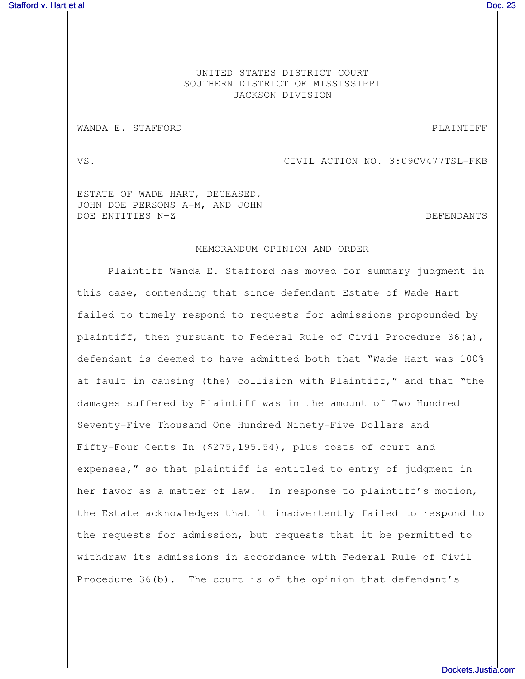## UNITED STATES DISTRICT COURT SOUTHERN DISTRICT OF MISSISSIPPI JACKSON DIVISION

## WANDA E. STAFFORD **PLAINTIFF**

VS. CIVIL ACTION NO. 3:09CV477TSL-FKB

ESTATE OF WADE HART, DECEASED, JOHN DOE PERSONS A-M, AND JOHN DOE ENTITIES N-Z de la contrata de la contrata de la contrata de la contrata de la contrata de la contrata de

## MEMORANDUM OPINION AND ORDER

Plaintiff Wanda E. Stafford has moved for summary judgment in this case, contending that since defendant Estate of Wade Hart failed to timely respond to requests for admissions propounded by plaintiff, then pursuant to Federal Rule of Civil Procedure 36(a), defendant is deemed to have admitted both that "Wade Hart was 100% at fault in causing (the) collision with Plaintiff," and that "the damages suffered by Plaintiff was in the amount of Two Hundred Seventy-Five Thousand One Hundred Ninety-Five Dollars and Fifty-Four Cents In (\$275,195.54), plus costs of court and expenses," so that plaintiff is entitled to entry of judgment in her favor as a matter of law. In response to plaintiff's motion, the Estate acknowledges that it inadvertently failed to respond to the requests for admission, but requests that it be permitted to withdraw its admissions in accordance with Federal Rule of Civil Procedure 36(b). The court is of the opinion that defendant's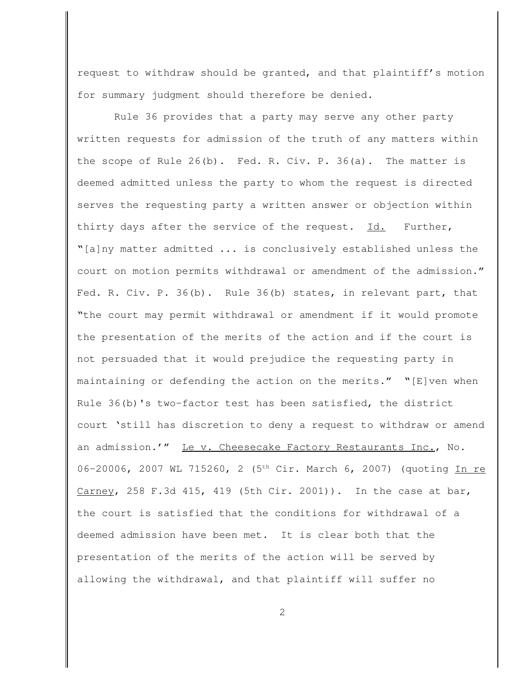request to withdraw should be granted, and that plaintiff's motion for summary judgment should therefore be denied.

Rule 36 provides that a party may serve any other party written requests for admission of the truth of any matters within the scope of Rule 26(b). Fed. R. Civ. P. 36(a). The matter is deemed admitted unless the party to whom the request is directed serves the requesting party a written answer or objection within thirty days after the service of the request. Id. Further, "[a]ny matter admitted ... is conclusively established unless the court on motion permits withdrawal or amendment of the admission." Fed. R. Civ. P. 36(b). Rule 36(b) states, in relevant part, that "the court may permit withdrawal or amendment if it would promote the presentation of the merits of the action and if the court is not persuaded that it would prejudice the requesting party in maintaining or defending the action on the merits." "[E]ven when Rule 36(b)'s two-factor test has been satisfied, the district court 'still has discretion to deny a request to withdraw or amend an admission.'" Le v. Cheesecake Factory Restaurants Inc., No. 06-20006, 2007 WL 715260, 2 (5<sup>th</sup> Cir. March 6, 2007) (quoting In re Carney, 258 F.3d 415, 419 (5th Cir. 2001)). In the case at bar, the court is satisfied that the conditions for withdrawal of a deemed admission have been met. It is clear both that the presentation of the merits of the action will be served by allowing the withdrawal, and that plaintiff will suffer no